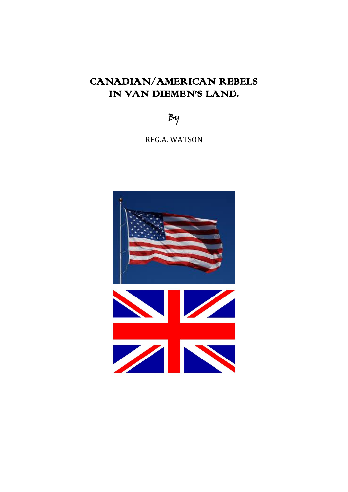# CANADIAN/AMERICAN REBELS IN VAN DIEMEN'S LAND.

By

REG.A. WATSON

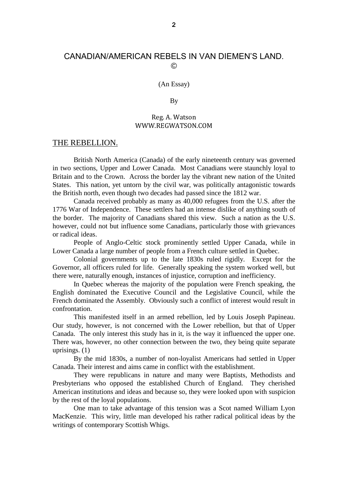### CANADIAN/AMERICAN REBELS IN VAN DIEMEN'S LAND. ©

(An Essay)

By

#### Reg. A. Watson WWW.REGWATSON.COM

#### THE REBELLION.

British North America (Canada) of the early nineteenth century was governed in two sections, Upper and Lower Canada. Most Canadians were staunchly loyal to Britain and to the Crown. Across the border lay the vibrant new nation of the United States. This nation, yet untorn by the civil war, was politically antagonistic towards the British north, even though two decades had passed since the 1812 war.

Canada received probably as many as 40,000 refugees from the U.S. after the 1776 War of Independence. These settlers had an intense dislike of anything south of the border. The majority of Canadians shared this view. Such a nation as the U.S. however, could not but influence some Canadians, particularly those with grievances or radical ideas.

People of Anglo-Celtic stock prominently settled Upper Canada, while in Lower Canada a large number of people from a French culture settled in Quebec.

Colonial governments up to the late 1830s ruled rigidly. Except for the Governor, all officers ruled for life. Generally speaking the system worked well, but there were, naturally enough, instances of injustice, corruption and inefficiency.

In Quebec whereas the majority of the population were French speaking, the English dominated the Executive Council and the Legislative Council, while the French dominated the Assembly. Obviously such a conflict of interest would result in confrontation.

This manifested itself in an armed rebellion, led by Louis Joseph Papineau. Our study, however, is not concerned with the Lower rebellion, but that of Upper Canada. The only interest this study has in it, is the way it influenced the upper one. There was, however, no other connection between the two, they being quite separate uprisings. (1)

By the mid 1830s, a number of non-loyalist Americans had settled in Upper Canada. Their interest and aims came in conflict with the establishment.

They were republicans in nature and many were Baptists, Methodists and Presbyterians who opposed the established Church of England. They cherished American institutions and ideas and because so, they were looked upon with suspicion by the rest of the loyal populations.

One man to take advantage of this tension was a Scot named William Lyon MacKenzie. This wiry, little man developed his rather radical political ideas by the writings of contemporary Scottish Whigs.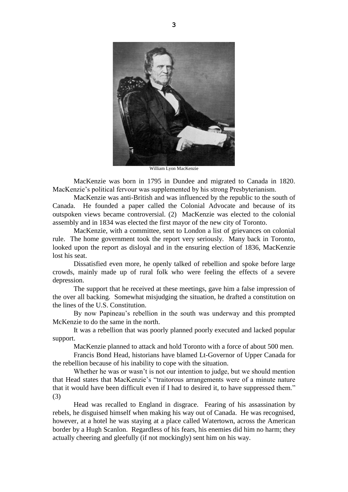

William Lyon MacKenzie

MacKenzie was born in 1795 in Dundee and migrated to Canada in 1820. MacKenzie's political fervour was supplemented by his strong Presbyterianism.

MacKenzie was anti-British and was influenced by the republic to the south of Canada. He founded a paper called the Colonial Advocate and because of its outspoken views became controversial. (2) MacKenzie was elected to the colonial assembly and in 1834 was elected the first mayor of the new city of Toronto.

MacKenzie, with a committee, sent to London a list of grievances on colonial rule. The home government took the report very seriously. Many back in Toronto, looked upon the report as disloyal and in the ensuring election of 1836, MacKenzie lost his seat.

Dissatisfied even more, he openly talked of rebellion and spoke before large crowds, mainly made up of rural folk who were feeling the effects of a severe depression.

The support that he received at these meetings, gave him a false impression of the over all backing. Somewhat misjudging the situation, he drafted a constitution on the lines of the U.S. Constitution.

By now Papineau's rebellion in the south was underway and this prompted McKenzie to do the same in the north.

It was a rebellion that was poorly planned poorly executed and lacked popular support.

MacKenzie planned to attack and hold Toronto with a force of about 500 men.

Francis Bond Head, historians have blamed Lt-Governor of Upper Canada for the rebellion because of his inability to cope with the situation.

Whether he was or wasn't is not our intention to judge, but we should mention that Head states that MacKenzie's "traitorous arrangements were of a minute nature that it would have been difficult even if I had to desired it, to have suppressed them." (3)

Head was recalled to England in disgrace. Fearing of his assassination by rebels, he disguised himself when making his way out of Canada. He was recognised, however, at a hotel he was staying at a place called Watertown, across the American border by a Hugh Scanlon. Regardless of his fears, his enemies did him no harm; they actually cheering and gleefully (if not mockingly) sent him on his way.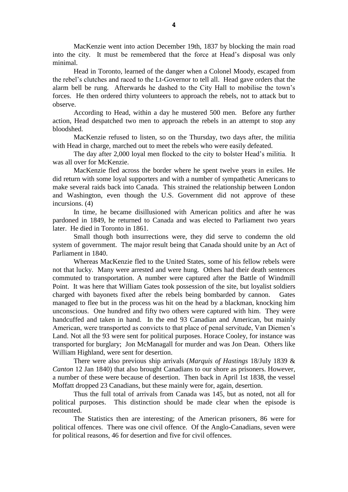MacKenzie went into action December 19th, 1837 by blocking the main road into the city. It must be remembered that the force at Head's disposal was only minimal.

Head in Toronto, learned of the danger when a Colonel Moody, escaped from the rebel's clutches and raced to the Lt-Governor to tell all. Head gave orders that the alarm bell be rung. Afterwards he dashed to the City Hall to mobilise the town's forces. He then ordered thirty volunteers to approach the rebels, not to attack but to observe.

According to Head, within a day he mustered 500 men. Before any further action, Head despatched two men to approach the rebels in an attempt to stop any bloodshed.

MacKenzie refused to listen, so on the Thursday, two days after, the militia with Head in charge, marched out to meet the rebels who were easily defeated.

The day after 2,000 loyal men flocked to the city to bolster Head's militia. It was all over for McKenzie.

MacKenzie fled across the border where he spent twelve years in exiles. He did return with some loyal supporters and with a number of sympathetic Americans to make several raids back into Canada. This strained the relationship between London and Washington, even though the U.S. Government did not approve of these incursions. (4)

In time, he became disillusioned with American politics and after he was pardoned in 1849, he returned to Canada and was elected to Parliament two years later. He died in Toronto in 1861.

Small though both insurrections were, they did serve to condemn the old system of government. The major result being that Canada should unite by an Act of Parliament in 1840.

Whereas MacKenzie fled to the United States, some of his fellow rebels were not that lucky. Many were arrested and were hung. Others had their death sentences commuted to transportation. A number were captured after the Battle of Windmill Point. It was here that William Gates took possession of the site, but loyalist soldiers charged with bayonets fixed after the rebels being bombarded by cannon. Gates managed to flee but in the process was hit on the head by a blackman, knocking him unconscious. One hundred and fifty two others were captured with him. They were handcuffed and taken in hand. In the end 93 Canadian and American, but mainly American, were transported as convicts to that place of penal servitude, Van Diemen's Land. Not all the 93 were sent for political purposes. Horace Cooley, for instance was transported for burglary; Jon McManagall for murder and was Jon Dean. Others like William Highland, were sent for desertion.

There were also previous ship arrivals (*Marquis of Hastings* 18/July 1839 & *Canton* 12 Jan 1840) that also brought Canadians to our shore as prisoners. However, a number of these were because of desertion. Then back in April 1st 1838, the vessel Moffatt dropped 23 Canadians, but these mainly were for, again, desertion.

Thus the full total of arrivals from Canada was 145, but as noted, not all for political purposes. This distinction should be made clear when the episode is recounted.

The Statistics then are interesting; of the American prisoners, 86 were for political offences. There was one civil offence. Of the Anglo-Canadians, seven were for political reasons, 46 for desertion and five for civil offences.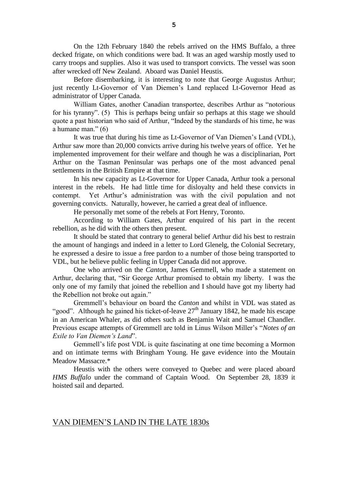On the 12th February 1840 the rebels arrived on the HMS Buffalo, a three decked frigate, on which conditions were bad. It was an aged warship mostly used to carry troops and supplies. Also it was used to transport convicts. The vessel was soon after wrecked off New Zealand. Aboard was Daniel Heustis.

Before disembarking, it is interesting to note that George Augustus Arthur; just recently Lt-Governor of Van Diemen's Land replaced Lt-Governor Head as administrator of Upper Canada.

William Gates, another Canadian transportee, describes Arthur as "notorious for his tyranny". (5) This is perhaps being unfair so perhaps at this stage we should quote a past historian who said of Arthur, "Indeed by the standards of his time, he was a humane man." (6)

It was true that during his time as Lt-Governor of Van Diemen's Land (VDL), Arthur saw more than 20,000 convicts arrive during his twelve years of office. Yet he implemented improvement for their welfare and though he was a disciplinarian, Port Arthur on the Tasman Peninsular was perhaps one of the most advanced penal settlements in the British Empire at that time.

In his new capacity as Lt-Governor for Upper Canada, Arthur took a personal interest in the rebels. He had little time for disloyalty and held these convicts in contempt. Yet Arthur's administration was with the civil population and not governing convicts. Naturally, however, he carried a great deal of influence.

He personally met some of the rebels at Fort Henry, Toronto.

According to William Gates, Arthur enquired of his part in the recent rebellion, as he did with the others then present.

It should be stated that contrary to general belief Arthur did his best to restrain the amount of hangings and indeed in a letter to Lord Glenelg, the Colonial Secretary, he expressed a desire to issue a free pardon to a number of those being transported to VDL, but he believe public feeling in Upper Canada did not approve.

One who arrived on the *Canton*, James Gemmell, who made a statement on Arthur, declaring that, "Sir George Arthur promised to obtain my liberty. I was the only one of my family that joined the rebellion and I should have got my liberty had the Rebellion not broke out again."

Gremmell's behaviour on board the *Canton* and whilst in VDL was stated as "good". Although he gained his ticket-of-leave  $27<sup>th</sup>$  January 1842, he made his escape in an American Whaler, as did others such as Benjamin Wait and Samuel Chandler. Previous escape attempts of Gremmell are told in Linus Wilson Miller's "*Notes of an Exile to Van Diemen's Land*".

Gemmell's life post VDL is quite fascinating at one time becoming a Mormon and on intimate terms with Bringham Young. He gave evidence into the Moutain Meadow Massacre.\*

Heustis with the others were conveyed to Quebec and were placed aboard *HMS Buffalo* under the command of Captain Wood. On September 28, 1839 it hoisted sail and departed.

#### VAN DIEMEN'S LAND IN THE LATE 1830s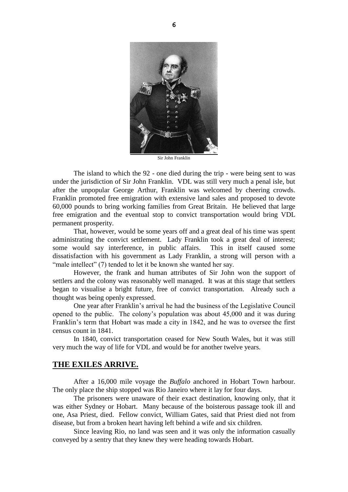

Sir John Franklin

The island to which the 92 - one died during the trip - were being sent to was under the jurisdiction of Sir John Franklin. VDL was still very much a penal isle, but after the unpopular George Arthur, Franklin was welcomed by cheering crowds. Franklin promoted free emigration with extensive land sales and proposed to devote 60,000 pounds to bring working families from Great Britain. He believed that large free emigration and the eventual stop to convict transportation would bring VDL permanent prosperity.

That, however, would be some years off and a great deal of his time was spent administrating the convict settlement. Lady Franklin took a great deal of interest; some would say interference, in public affairs. This in itself caused some dissatisfaction with his government as Lady Franklin, a strong will person with a "male intellect" (7) tended to let it be known she wanted her say.

However, the frank and human attributes of Sir John won the support of settlers and the colony was reasonably well managed. It was at this stage that settlers began to visualise a bright future, free of convict transportation. Already such a thought was being openly expressed.

One year after Franklin's arrival he had the business of the Legislative Council opened to the public. The colony's population was about 45,000 and it was during Franklin's term that Hobart was made a city in 1842, and he was to oversee the first census count in 1841.

In 1840, convict transportation ceased for New South Wales, but it was still very much the way of life for VDL and would be for another twelve years.

#### **THE EXILES ARRIVE.**

After a 16,000 mile voyage the *Buffalo* anchored in Hobart Town harbour. The only place the ship stopped was Rio Janeiro where it lay for four days.

The prisoners were unaware of their exact destination, knowing only, that it was either Sydney or Hobart. Many because of the boisterous passage took ill and one, Asa Priest, died. Fellow convict, William Gates, said that Priest died not from disease, but from a broken heart having left behind a wife and six children.

Since leaving Rio, no land was seen and it was only the information casually conveyed by a sentry that they knew they were heading towards Hobart.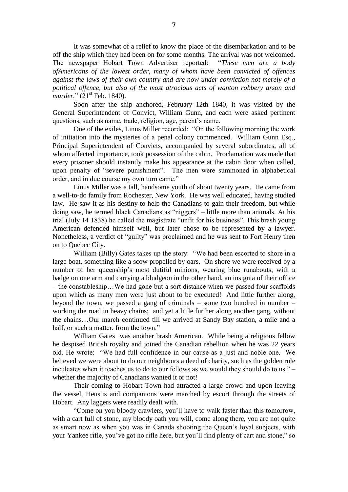It was somewhat of a relief to know the place of the disembarkation and to be off the ship which they had been on for some months. The arrival was not welcomed. The newspaper Hobart Town Advertiser reported: "*These men are a body ofAmericans of the lowest order, many of whom have been convicted of offences against the laws of their own country and are now under conviction not merely of a political offence, but also of the most atrocious acts of wanton robbery arson and murder.*" (21<sup>st</sup> Feb. 1840).

Soon after the ship anchored, February 12th 1840, it was visited by the General Superintendent of Convict, William Gunn, and each were asked pertinent questions, such as name, trade, religion, age, parent's name.

One of the exiles, Linus Miller recorded: "On the following morning the work of initiation into the mysteries of a penal colony commenced. William Gunn Esq., Principal Superintendent of Convicts, accompanied by several subordinates, all of whom affected importance, took possession of the cabin. Proclamation was made that every prisoner should instantly make his appearance at the cabin door when called, upon penalty of "severe punishment". The men were summoned in alphabetical order, and in due course my own turn came."

Linus Miller was a tall, handsome youth of about twenty years. He came from a well-to-do family from Rochester, New York. He was well educated, having studied law. He saw it as his destiny to help the Canadians to gain their freedom, but while doing saw, he termed black Canadians as "niggers" – little more than animals. At his trial (July 14 1838) he called the magistrate "unfit for his business". This brash young American defended himself well, but later chose to be represented by a lawyer. Nonetheless, a verdict of "guilty" was proclaimed and he was sent to Fort Henry then on to Quebec City.

William (Billy) Gates takes up the story: "We had been escorted to shore in a large boat, something like a scow propelled by oars. On shore we were received by a number of her queenship's most dutiful minions, wearing blue runabouts, with a badge on one arm and carrying a bludgeon in the other hand, an insignia of their office – the constableship…We had gone but a sort distance when we passed four scaffolds upon which as many men were just about to be executed! And little further along, beyond the town, we passed a gang of criminals – some two hundred in number – working the road in heavy chains; and yet a little further along another gang, without the chains…Our march continued till we arrived at Sandy Bay station, a mile and a half, or such a matter, from the town."

William Gates was another brash American. While being a religious fellow he despised British royalty and joined the Canadian rebellion when he was 22 years old. He wrote: "We had full confidence in our cause as a just and noble one. We believed we were about to do our neighbours a deed of charity, such as the golden rule inculcates when it teaches us to do to our fellows as we would they should do to us." – whether the majority of Canadians wanted it or not!

Their coming to Hobart Town had attracted a large crowd and upon leaving the vessel, Heustis and companions were marched by escort through the streets of Hobart. Any laggers were readily dealt with.

"Come on you bloody crawlers, you'll have to walk faster than this tomorrow, with a cart full of stone, my bloody oath you will, come along there, you are not quite as smart now as when you was in Canada shooting the Queen's loyal subjects, with your Yankee rifle, you've got no rifle here, but you'll find plenty of cart and stone," so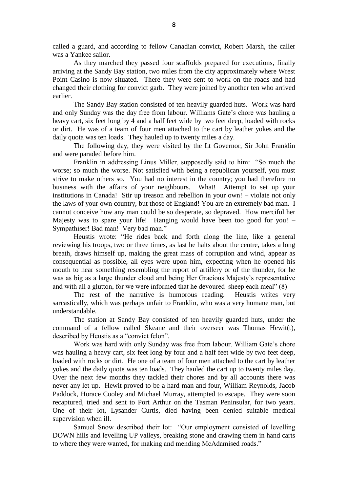called a guard, and according to fellow Canadian convict, Robert Marsh, the caller was a Yankee sailor.

As they marched they passed four scaffolds prepared for executions, finally arriving at the Sandy Bay station, two miles from the city approximately where Wrest Point Casino is now situated. There they were sent to work on the roads and had changed their clothing for convict garb. They were joined by another ten who arrived earlier.

The Sandy Bay station consisted of ten heavily guarded huts. Work was hard and only Sunday was the day free from labour. Williams Gate's chore was hauling a heavy cart, six feet long by 4 and a half feet wide by two feet deep, loaded with rocks or dirt. He was of a team of four men attached to the cart by leather yokes and the daily quota was ten loads. They hauled up to twenty miles a day.

The following day, they were visited by the Lt Governor, Sir John Franklin and were paraded before him.

Franklin in addressing Linus Miller, supposedly said to him: "So much the worse; so much the worse. Not satisfied with being a republican yourself, you must strive to make others so. You had no interest in the country; you had therefore no business with the affairs of your neighbours. What! Attempt to set up your institutions in Canada! Stir up treason and rebellion in your own! – violate not only the laws of your own country, but those of England! You are an extremely bad man. I cannot conceive how any man could be so desperate, so depraved. How merciful her Majesty was to spare your life! Hanging would have been too good for you! – Sympathiser! Bad man! Very bad man."

Heustis wrote: "He rides back and forth along the line, like a general reviewing his troops, two or three times, as last he halts about the centre, takes a long breath, draws himself up, making the great mass of corruption and wind, appear as consequential as possible, all eyes were upon him, expecting when he opened his mouth to hear something resembling the report of artillery or of the thunder, for he was as big as a large thunder cloud and being Her Gracious Majesty's representative and with all a glutton, for we were informed that he devoured sheep each meal" (8)

The rest of the narrative is humorous reading. Heustis writes very sarcastically, which was perhaps unfair to Franklin, who was a very humane man, but understandable.

The station at Sandy Bay consisted of ten heavily guarded huts, under the command of a fellow called Skeane and their overseer was Thomas Hewit(t), described by Heustis as a "convict felon".

Work was hard with only Sunday was free from labour. William Gate's chore was hauling a heavy cart, six feet long by four and a half feet wide by two feet deep, loaded with rocks or dirt. He one of a team of four men attached to the cart by leather yokes and the daily quote was ten loads. They hauled the cart up to twenty miles day. Over the next few months they tackled their chores and by all accounts there was never any let up. Hewit proved to be a hard man and four, William Reynolds, Jacob Paddock, Horace Cooley and Michael Murray, attempted to escape. They were soon recaptured, tried and sent to Port Arthur on the Tasman Peninsular, for two years. One of their lot, Lysander Curtis, died having been denied suitable medical supervision when ill.

Samuel Snow described their lot: "Our employment consisted of levelling DOWN hills and levelling UP valleys, breaking stone and drawing them in hand carts to where they were wanted, for making and mending McAdamised roads."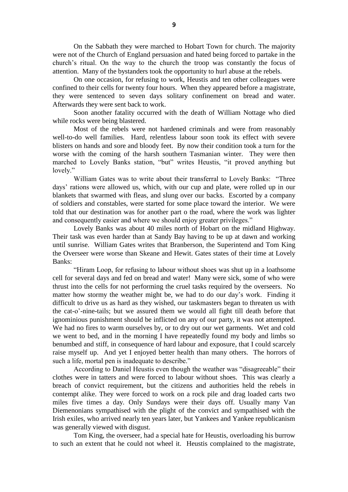On the Sabbath they were marched to Hobart Town for church. The majority were not of the Church of England persuasion and hated being forced to partake in the church's ritual. On the way to the church the troop was constantly the focus of attention. Many of the bystanders took the opportunity to hurl abuse at the rebels.

On one occasion, for refusing to work, Heustis and ten other colleagues were confined to their cells for twenty four hours. When they appeared before a magistrate, they were sentenced to seven days solitary confinement on bread and water. Afterwards they were sent back to work.

Soon another fatality occurred with the death of William Nottage who died while rocks were being blastered.

Most of the rebels were not hardened criminals and were from reasonably well-to-do well families. Hard, relentless labour soon took its effect with severe blisters on hands and sore and bloody feet. By now their condition took a turn for the worse with the coming of the harsh southern Tasmanian winter. They were then marched to Lovely Banks station, "but" writes Heustis, "it proved anything but lovely."

William Gates was to write about their transferral to Lovely Banks: "Three days' rations were allowed us, which, with our cup and plate, were rolled up in our blankets that swarmed with fleas, and slung over our backs. Escorted by a company of soldiers and constables, were started for some place toward the interior. We were told that our destination was for another part o the road, where the work was lighter and consequently easier and where we should enjoy greater privileges."

Lovely Banks was about 40 miles north of Hobart on the midland Highway. Their task was even harder than at Sandy Bay having to be up at dawn and working until sunrise. William Gates writes that Branberson, the Superintend and Tom King the Overseer were worse than Skeane and Hewit. Gates states of their time at Lovely Banks:

"Hiram Loop, for refusing to labour without shoes was shut up in a loathsome cell for several days and fed on bread and water! Many were sick, some of who were thrust into the cells for not performing the cruel tasks required by the overseers. No matter how stormy the weather might be, we had to do our day's work. Finding it difficult to drive us as hard as they wished, our taskmasters began to threaten us with the cat-o'-nine-tails; but we assured them we would all fight till death before that ignominious punishment should be inflicted on any of our party, it was not attempted. We had no fires to warm ourselves by, or to dry out our wet garments. Wet and cold we went to bed, and in the morning I have repeatedly found my body and limbs so benumbed and stiff, in consequence of hard labour and exposure, that I could scarcely raise myself up. And yet I enjoyed better health than many others. The horrors of such a life, mortal pen is inadequate to describe."

According to Daniel Heustis even though the weather was "disagreeable" their clothes were in tatters and were forced to labour without shoes. This was clearly a breach of convict requirement, but the citizens and authorities held the rebels in contempt alike. They were forced to work on a rock pile and drag loaded carts two miles five times a day. Only Sundays were their days off. Usually many Van Diemenonians sympathised with the plight of the convict and sympathised with the Irish exiles, who arrived nearly ten years later, but Yankees and Yankee republicanism was generally viewed with disgust.

Tom King, the overseer, had a special hate for Heustis, overloading his burrow to such an extent that he could not wheel it. Heustis complained to the magistrate,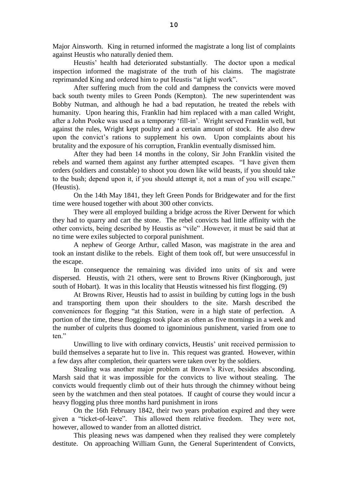Major Ainsworth. King in returned informed the magistrate a long list of complaints against Heustis who naturally denied them.

Heustis' health had deteriorated substantially. The doctor upon a medical inspection informed the magistrate of the truth of his claims. The magistrate reprimanded King and ordered him to put Heustis "at light work".

After suffering much from the cold and dampness the convicts were moved back south twenty miles to Green Ponds (Kempton). The new superintendent was Bobby Nutman, and although he had a bad reputation, he treated the rebels with humanity. Upon hearing this, Franklin had him replaced with a man called Wright, after a John Pooke was used as a temporary 'fill-in'. Wright served Franklin well, but against the rules, Wright kept poultry and a certain amount of stock. He also drew upon the convict's rations to supplement his own. Upon complaints about his brutality and the exposure of his corruption, Franklin eventually dismissed him.

After they had been 14 months in the colony, Sir John Franklin visited the rebels and warned them against any further attempted escapes. "I have given them orders (soldiers and constable) to shoot you down like wild beasts, if you should take to the bush; depend upon it, if you should attempt it, not a man of you will escape." (Heustis).

On the 14th May 1841, they left Green Ponds for Bridgewater and for the first time were housed together with about 300 other convicts.

They were all employed building a bridge across the River Derwent for which they had to quarry and cart the stone. The rebel convicts had little affinity with the other convicts, being described by Heustis as "vile" .However, it must be said that at no time were exiles subjected to corporal punishment.

A nephew of George Arthur, called Mason, was magistrate in the area and took an instant dislike to the rebels. Eight of them took off, but were unsuccessful in the escape.

In consequence the remaining was divided into units of six and were dispersed. Heustis, with 21 others, were sent to Browns River (Kingborough, just south of Hobart). It was in this locality that Heustis witnessed his first flogging. (9)

At Browns River, Heustis had to assist in building by cutting logs in the bush and transporting them upon their shoulders to the site. Marsh described the conveniences for flogging "at this Station, were in a high state of perfection. A portion of the time, these floggings took place as often as five mornings in a week and the number of culprits thus doomed to ignominious punishment, varied from one to ten."

Unwilling to live with ordinary convicts, Heustis' unit received permission to build themselves a separate hut to live in. This request was granted. However, within a few days after completion, their quarters were taken over by the soldiers.

Stealing was another major problem at Brown's River, besides absconding. Marsh said that it was impossible for the convicts to live without stealing. The convicts would frequently climb out of their huts through the chimney without being seen by the watchmen and then steal potatoes. If caught of course they would incur a heavy flogging plus three months hard punishment in irons

On the 16th February 1842, their two years probation expired and they were given a "ticket-of-leave". This allowed them relative freedom. They were not, however, allowed to wander from an allotted district.

This pleasing news was dampened when they realised they were completely destitute. On approaching William Gunn, the General Superintendent of Convicts,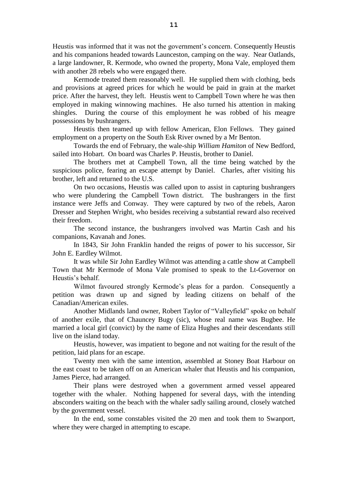Heustis was informed that it was not the government's concern. Consequently Heustis and his companions headed towards Launceston, camping on the way. Near Oatlands, a large landowner, R. Kermode, who owned the property, Mona Vale, employed them with another 28 rebels who were engaged there.

Kermode treated them reasonably well. He supplied them with clothing, beds and provisions at agreed prices for which he would be paid in grain at the market price. After the harvest, they left. Heustis went to Campbell Town where he was then employed in making winnowing machines. He also turned his attention in making shingles. During the course of this employment he was robbed of his meagre possessions by bushrangers.

Heustis then teamed up with fellow American, Elon Fellows. They gained employment on a property on the South Esk River owned by a Mr Benton.

Towards the end of February, the wale-ship *William Hamiton* of New Bedford, sailed into Hobart. On board was Charles P. Heustis, brother to Daniel.

The brothers met at Campbell Town, all the time being watched by the suspicious police, fearing an escape attempt by Daniel. Charles, after visiting his brother, left and returned to the U.S.

On two occasions, Heustis was called upon to assist in capturing bushrangers who were plundering the Campbell Town district. The bushrangers in the first instance were Jeffs and Conway. They were captured by two of the rebels, Aaron Dresser and Stephen Wright, who besides receiving a substantial reward also received their freedom.

The second instance, the bushrangers involved was Martin Cash and his companions, Kavanah and Jones.

In 1843, Sir John Franklin handed the reigns of power to his successor, Sir John E. Eardley Wilmot.

It was while Sir John Eardley Wilmot was attending a cattle show at Campbell Town that Mr Kermode of Mona Vale promised to speak to the Lt-Governor on Heustis's behalf.

Wilmot favoured strongly Kermode's pleas for a pardon. Consequently a petition was drawn up and signed by leading citizens on behalf of the Canadian/American exiles.

Another Midlands land owner, Robert Taylor of "Valleyfield" spoke on behalf of another exile, that of Chauncey Bugy (sic), whose real name was Bugbee. He married a local girl (convict) by the name of Eliza Hughes and their descendants still live on the island today.

Heustis, however, was impatient to begone and not waiting for the result of the petition, laid plans for an escape.

Twenty men with the same intention, assembled at Stoney Boat Harbour on the east coast to be taken off on an American whaler that Heustis and his companion, James Pierce, had arranged.

Their plans were destroyed when a government armed vessel appeared together with the whaler. Nothing happened for several days, with the intending absconders waiting on the beach with the whaler sadly sailing around, closely watched by the government vessel.

In the end, some constables visited the 20 men and took them to Swanport, where they were charged in attempting to escape.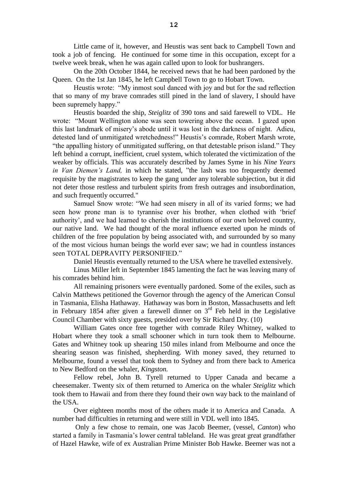Little came of it, however, and Heustis was sent back to Campbell Town and took a job of fencing. He continued for some time in this occupation, except for a twelve week break, when he was again called upon to look for bushrangers.

On the 20th October 1844, he received news that he had been pardoned by the Queen. On the 1st Jan 1845, he left Campbell Town to go to Hobart Town.

Heustis wrote: "My inmost soul danced with joy and but for the sad reflection that so many of my brave comrades still pined in the land of slavery, I should have been supremely happy."

Heustis boarded the ship, *Steiglitz* of 390 tons and said farewell to VDL. He wrote: "Mount Wellington alone was seen towering above the ocean. I gazed upon this last landmark of misery's abode until it was lost in the darkness of night. Adieu, detested land of unmitigated wretchedness!" Heustis's comrade, Robert Marsh wrote, "the appalling history of unmitigated suffering, on that detestable prison island." They left behind a corrupt, inefficient, cruel system, which tolerated the victimization of the weaker by officials. This was accurately described by James Syme in his *Nine Years in Van Diemen's Land,* in which he stated, "the lash was too frequently deemed requisite by the magistrates to keep the gang under any tolerable subjection, but it did not deter those restless and turbulent spirits from fresh outrages and insubordination, and such frequently occurred."

Samuel Snow wrote: "We had seen misery in all of its varied forms; we had seen how prone man is to tyrannise over his brother, when clothed with 'brief authority', and we had learned to cherish the institutions of our own beloved country, our native land. We had thought of the moral influence exerted upon he minds of children of the free population by being associated with, and surrounded by so many of the most vicious human beings the world ever saw; we had in countless instances seen TOTAL DEPRAVITY PERSONIFIED."

Daniel Heustis eventually returned to the USA where he travelled extensively.

Linus Miller left in September 1845 lamenting the fact he was leaving many of his comrades behind him.

All remaining prisoners were eventually pardoned. Some of the exiles, such as Calvin Matthews petitioned the Governor through the agency of the American Consul in Tasmania, Elisha Hathaway. Hathaway was born in Boston, Massachusetts and left in February 1854 after given a farewell dinner on  $3<sup>rd</sup>$  Feb held in the Legislative Council Chamber with sixty guests, presided over by Sir Richard Dry. (10)

William Gates once free together with comrade Riley Whitney, walked to Hobart where they took a small schooner which in turn took them to Melbourne. Gates and Whitney took up shearing 150 miles inland from Melbourne and once the shearing season was finished, shepherding. With money saved, they returned to Melbourne, found a vessel that took them to Sydney and from there back to America to New Bedford on the whaler, *Kingston.*

Fellow rebel, John B. Tyrell returned to Upper Canada and became a cheesemaker. Twenty six of them returned to America on the whaler *Steiglitz* which took them to Hawaii and from there they found their own way back to the mainland of the USA.

Over eighteen months most of the others made it to America and Canada. A number had difficulties in returning and were still in VDL well into 1845.

Only a few chose to remain, one was Jacob Beemer, (vessel, *Canton*) who started a family in Tasmania's lower central tableland. He was great great grandfather of Hazel Hawke, wife of ex Australian Prime Minister Bob Hawke. Beemer was not a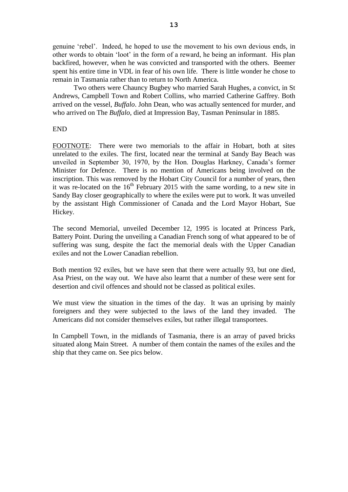genuine 'rebel'. Indeed, he hoped to use the movement to his own devious ends, in other words to obtain 'loot' in the form of a reward, he being an informant. His plan backfired, however, when he was convicted and transported with the others. Beemer spent his entire time in VDL in fear of his own life. There is little wonder he chose to remain in Tasmania rather than to return to North America.

Two others were Chauncy Bugbey who married Sarah Hughes, a convict, in St Andrews, Campbell Town and Robert Collins, who married Catherine Gaffrey. Both arrived on the vessel, *Buffalo*. John Dean, who was actually sentenced for murder, and who arrived on The *Buffalo*, died at Impression Bay, Tasman Peninsular in 1885.

#### END

FOOTNOTE: There were two memorials to the affair in Hobart, both at sites unrelated to the exiles. The first, located near the terminal at Sandy Bay Beach was unveiled in September 30, 1970, by the Hon. Douglas Harkney, Canada's former Minister for Defence. There is no mention of Americans being involved on the inscription. This was removed by the Hobart City Council for a number of years, then it was re-located on the  $16<sup>th</sup>$  February 2015 with the same wording, to a new site in Sandy Bay closer geographically to where the exiles were put to work. It was unveiled by the assistant High Commissioner of Canada and the Lord Mayor Hobart, Sue Hickey.

The second Memorial, unveiled December 12, 1995 is located at Princess Park, Battery Point. During the unveiling a Canadian French song of what appeared to be of suffering was sung, despite the fact the memorial deals with the Upper Canadian exiles and not the Lower Canadian rebellion.

Both mention 92 exiles, but we have seen that there were actually 93, but one died, Asa Priest, on the way out. We have also learnt that a number of these were sent for desertion and civil offences and should not be classed as political exiles.

We must view the situation in the times of the day. It was an uprising by mainly foreigners and they were subjected to the laws of the land they invaded. The Americans did not consider themselves exiles, but rather illegal transportees.

In Campbell Town, in the midlands of Tasmania, there is an array of paved bricks situated along Main Street. A number of them contain the names of the exiles and the ship that they came on. See pics below.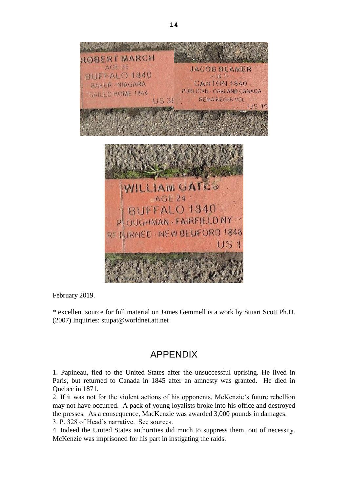

February 2019.

\* excellent source for full material on James Gemmell is a work by Stuart Scott Ph.D. (2007) Inquiries: stupat@worldnet.att.net

## APPENDIX

1. Papineau, fled to the United States after the unsuccessful uprising. He lived in Paris, but returned to Canada in 1845 after an amnesty was granted. He died in Quebec in 1871.

2. If it was not for the violent actions of his opponents, McKenzie's future rebellion may not have occurred. A pack of young loyalists broke into his office and destroyed the presses. As a consequence, MacKenzie was awarded 3,000 pounds in damages.

3. P. 328 of Head's narrative. See sources.

4. Indeed the United States authorities did much to suppress them, out of necessity. McKenzie was imprisoned for his part in instigating the raids.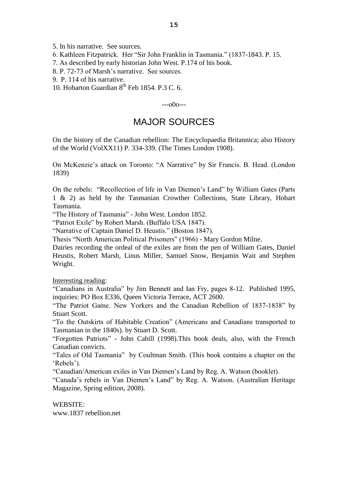5. In his narrative. See sources.

6. Kathleen Fitzpatrick. Her "Sir John Franklin in Tasmania." (1837-1843. P. 15.

7. As described by early historian John West. P.174 of his book.

8. P. 72-73 of Marsh's narrative. See sources.

9. P. 114 of his narrative.

10. Hobarton Guardian  $8^{th}$  Feb 1854. P.3 C. 6.

 $-000$ 

### MAJOR SOURCES

On the history of the Canadian rebellion: The Encyclopaedia Britannica; also History of the World (VolXX11) P. 334-339. (The Times London 1908).

On McKenzie's attack on Toronto: "A Narrative" by Sir Francis. B. Head. (London 1839)

On the rebels: "Recollection of life in Van Diemen's Land" by William Gates (Parts 1 & 2) as held by the Tasmanian Crowther Collections, State Library, Hobart Tasmania.

"The History of Tasmania" - John West. London 1852.

"Patriot Exile" by Robert Marsh. (Buffalo USA 1847).

"Narrative of Captain Daniel D. Heustis." (Boston 1847).

Thesis "North American Political Prisoners" (1966) - Mary Gordon Milne.

Dairies recording the ordeal of the exiles are from the pen of William Gates, Daniel Heustis, Robert Marsh, Linus Miller, Samuel Snow, Benjamin Wait and Stephen Wright.

Interesting reading:

"Canadians in Australia" by Jim Bennett and Ian Fry, pages 8-12. Published 1995, inquiries: PO Box E336, Queen Victoria Terrace, ACT 2600.

"The Patriot Game. New Yorkers and the Canadian Rebellion of 1837-1838" by Stuart Scott.

"To the Outskirts of Habitable Creation" (Americans and Canadians transported to Tasmanian in the 1840s). by Stuart D. Scott.

"Forgotten Patriots" - John Cahill (1998).This book deals, also, with the French Canadian convicts.

"Tales of Old Tasmania" by Coultman Smith. (This book contains a chapter on the 'Rebels').

"Canadian/American exiles in Van Diemen's Land by Reg. A. Watson (booklet).

"Canada's rebels in Van Diemen's Land" by Reg. A. Watson. (Australian Heritage Magazine, Spring edition, 2008).

WEBSITE: www.1837 rebellion.net